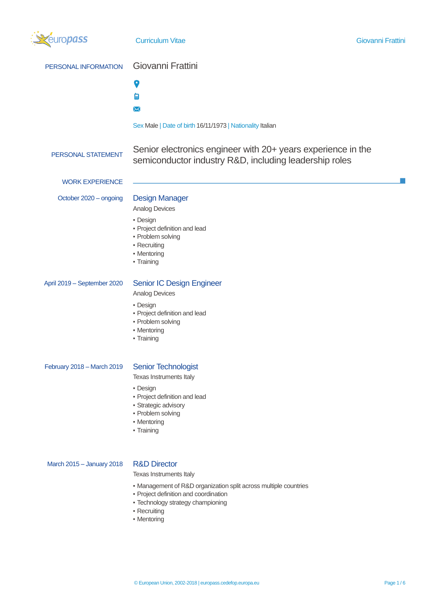

- Technology strategy championing
- Recruiting
- Mentoring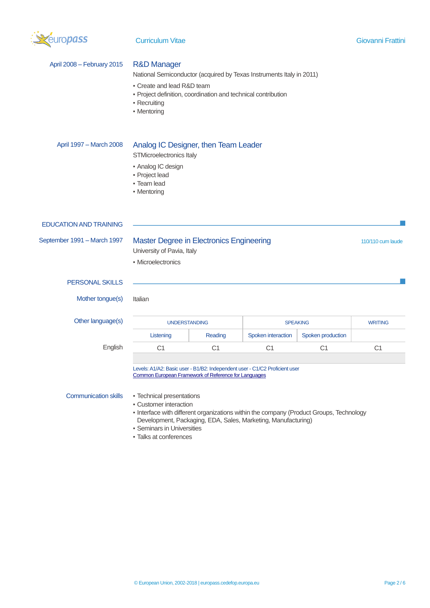

| April 2008 - February 2015    | <b>R&amp;D Manager</b><br>National Semiconductor (acquired by Texas Instruments Italy in 2011)<br>• Create and lead R&D team<br>· Project definition, coordination and technical contribution<br>• Recruiting<br>• Mentoring                                                                 |                |                    |                   |                   |
|-------------------------------|----------------------------------------------------------------------------------------------------------------------------------------------------------------------------------------------------------------------------------------------------------------------------------------------|----------------|--------------------|-------------------|-------------------|
| April 1997 - March 2008       | Analog IC Designer, then Team Leader<br>STMicroelectronics Italy<br>• Analog IC design<br>• Project lead<br>• Team lead<br>• Mentoring                                                                                                                                                       |                |                    |                   |                   |
| <b>EDUCATION AND TRAINING</b> |                                                                                                                                                                                                                                                                                              |                |                    |                   |                   |
| September 1991 - March 1997   | Master Degree in Electronics Engineering<br>University of Pavia, Italy<br>• Microelectronics                                                                                                                                                                                                 |                |                    |                   | 110/110 cum laude |
| <b>PERSONAL SKILLS</b>        |                                                                                                                                                                                                                                                                                              |                |                    |                   |                   |
| Mother tongue(s)              | Italian                                                                                                                                                                                                                                                                                      |                |                    |                   |                   |
| Other language(s)             | <b>UNDERSTANDING</b>                                                                                                                                                                                                                                                                         |                |                    | <b>SPEAKING</b>   |                   |
|                               | Listening                                                                                                                                                                                                                                                                                    | Reading        | Spoken interaction | Spoken production |                   |
| English                       | C <sub>1</sub>                                                                                                                                                                                                                                                                               | C <sub>1</sub> | C <sub>1</sub>     | C <sub>1</sub>    | C <sub>1</sub>    |
| <b>Communication skills</b>   | Levels: A1/A2: Basic user - B1/B2: Independent user - C1/C2 Proficient user<br><b>Common European Framework of Reference for Languages</b><br>• Technical presentations<br>• Customer interaction<br>- Interface with different organizations within the company (Product Groups, Technology |                |                    |                   |                   |
|                               | Development, Packaging, EDA, Sales, Marketing, Manufacturing)<br>Constitution in Fight is initially                                                                                                                                                                                          |                |                    |                   |                   |

- Seminars in Universities
- Talks at conferences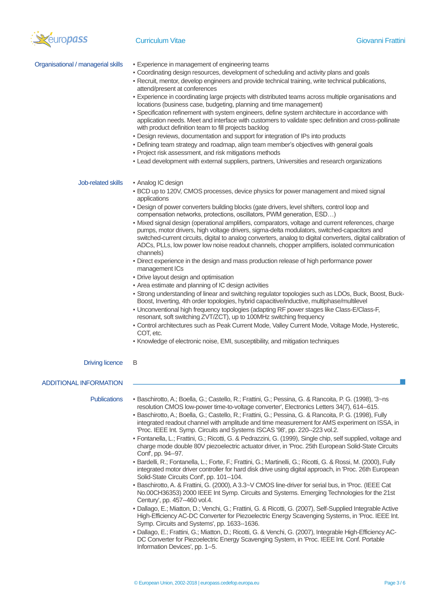

| Organisational / managerial skills | . Experience in management of engineering teams<br>. Coordinating design resources, development of scheduling and activity plans and goals<br>- Recruit, mentor, develop engineers and provide technical training, write technical publications,<br>attend/present at conferences<br>- Experience in coordinating large projects with distributed teams across multiple organisations and<br>locations (business case, budgeting, planning and time management)<br>- Specification refinement with system engineers, define system architecture in accordance with<br>application needs. Meet and interface with customers to validate spec definition and cross-pollinate<br>with product definition team to fill projects backlog<br>- Design reviews, documentation and support for integration of IPs into products<br>- Defining team strategy and roadmap, align team member's objectives with general goals<br>· Project risk assessment, and risk mitigations methods<br>- Lead development with external suppliers, partners, Universities and research organizations                                                                                                                                                                                                                                                                                                                                                                                                                                                          |
|------------------------------------|-----------------------------------------------------------------------------------------------------------------------------------------------------------------------------------------------------------------------------------------------------------------------------------------------------------------------------------------------------------------------------------------------------------------------------------------------------------------------------------------------------------------------------------------------------------------------------------------------------------------------------------------------------------------------------------------------------------------------------------------------------------------------------------------------------------------------------------------------------------------------------------------------------------------------------------------------------------------------------------------------------------------------------------------------------------------------------------------------------------------------------------------------------------------------------------------------------------------------------------------------------------------------------------------------------------------------------------------------------------------------------------------------------------------------------------------------------------------------------------------------------------------------------------------|
| Job-related skills                 | • Analog IC design<br>• BCD up to 120V, CMOS processes, device physics for power management and mixed signal<br>applications<br>- Design of power converters building blocks (gate drivers, level shifters, control loop and<br>compensation networks, protections, oscillators, PWM generation, ESD)<br>· Mixed signal design (operational amplifiers, comparators, voltage and current references, charge<br>pumps, motor drivers, high voltage drivers, sigma-delta modulators, switched-capacitors and<br>switched-current circuits, digital to analog converters, analog to digital converters, digital calibration of<br>ADCs, PLLs, low power low noise readout channels, chopper amplifiers, isolated communication<br>channels)<br>- Direct experience in the design and mass production release of high performance power<br>management ICs<br>. Drive layout design and optimisation<br>• Area estimate and planning of IC design activities<br>- Strong understanding of linear and switching regulator topologies such as LDOs, Buck, Boost, Buck-<br>Boost, Inverting, 4th order topologies, hybrid capacitive/inductive, multiphase/multilevel<br>- Unconventional high frequency topologies (adapting RF power stages like Class-E/Class-F,<br>resonant, soft switching ZVT/ZCT), up to 100MHz switching frequency<br>- Control architectures such as Peak Current Mode, Valley Current Mode, Voltage Mode, Hysteretic,<br>COT, etc.<br>• Knowledge of electronic noise, EMI, susceptibility, and mitigation techniques |
| <b>Driving licence</b>             | B                                                                                                                                                                                                                                                                                                                                                                                                                                                                                                                                                                                                                                                                                                                                                                                                                                                                                                                                                                                                                                                                                                                                                                                                                                                                                                                                                                                                                                                                                                                                       |
| <b>ADDITIONAL INFORMATION</b>      |                                                                                                                                                                                                                                                                                                                                                                                                                                                                                                                                                                                                                                                                                                                                                                                                                                                                                                                                                                                                                                                                                                                                                                                                                                                                                                                                                                                                                                                                                                                                         |
| <b>Publications</b>                | Baschirotto, A.; Boella, G.; Castello, R.; Frattini, G.; Pessina, G. & Rancoita, P. G. (1998), '3~ns<br>resolution CMOS low-power time-to-voltage converter', Electronics Letters 34(7), 614--615.<br>- Baschirotto, A.; Boella, G.; Castello, R.; Frattini, G.; Pessina, G. & Rancoita, P. G. (1998), Fully<br>integrated readout channel with amplitude and time measurement for AMS experiment on ISSA, in<br>'Proc. IEEE Int. Symp. Circuits and Systems ISCAS '98', pp. 220--223 vol.2.<br>- Fontanella, L.; Frattini, G.; Ricotti, G. & Pedrazzini, G. (1999), Single chip, self supplied, voltage and<br>charge mode double 80V piezoelectric actuator driver, in 'Proc. 25th European Solid-State Circuits<br>Conf', pp. 94--97.<br>- Bardelli, R.; Fontanella, L.; Forte, F.; Frattini, G.; Martinelli, G.; Ricotti, G. & Rossi, M. (2000), Fully                                                                                                                                                                                                                                                                                                                                                                                                                                                                                                                                                                                                                                                                              |

- integrated motor driver controller for hard disk drive using digital approach, in 'Proc. 26th European Solid-State Circuits Conf', pp. 101--104. ▪ Baschirotto, A. & Frattini, G. (2000), A 3.3~V CMOS line-driver for serial bus, in 'Proc. (IEEE Cat
- No.00CH36353) 2000 IEEE Int Symp. Circuits and Systems. Emerging Technologies for the 21st Century', pp. 457--460 vol.4.
- Dallago, E.; Miatton, D.; Venchi, G.; Frattini, G. & Ricotti, G. (2007), Self-Supplied Integrable Active High-Efficiency AC-DC Converter for Piezoelectric Energy Scavenging Systems, in 'Proc. IEEE Int. Symp. Circuits and Systems', pp. 1633--1636.
- Dallago, E.; Frattini, G.; Miatton, D.; Ricotti, G. & Venchi, G. (2007), Integrable High-Efficiency AC-DC Converter for Piezoelectric Energy Scavenging System, in 'Proc. IEEE Int. Conf. Portable Information Devices', pp. 1--5.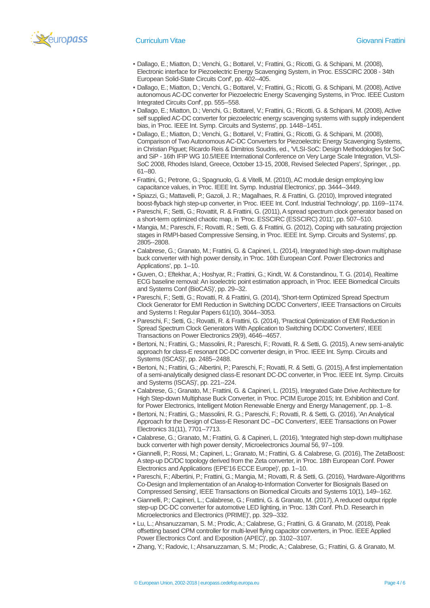

- Dallago, E.; Miatton, D.; Venchi, G.; Bottarel, V.; Frattini, G.; Ricotti, G. & Schipani, M. (2008), Electronic interface for Piezoelectric Energy Scavenging System, in 'Proc. ESSCIRC 2008 - 34th European Solid-State Circuits Conf', pp. 402--405.
- Dallago, E.; Miatton, D.; Venchi, G.; Bottarel, V.; Frattini, G.; Ricotti, G. & Schipani, M. (2008), Active autonomous AC-DC converter for Piezoelectric Energy Scavenging Systems, in 'Proc. IEEE Custom Integrated Circuits Conf', pp. 555--558.
- Dallago, E.; Miatton, D.; Venchi, G.; Bottarel, V.; Frattini, G.; Ricotti, G. & Schipani, M. (2008), Active self supplied AC-DC converter for piezoelectric energy scavenging systems with supply independent bias, in 'Proc. IEEE Int. Symp. Circuits and Systems', pp. 1448--1451.
- Dallago, E.; Miatton, D.; Venchi, G.; Bottarel, V.; Frattini, G.; Ricotti, G. & Schipani, M. (2008), Comparison of Two Autonomous AC-DC Converters for Piezoelectric Energy Scavenging Systems, in Christian Piguet; Ricardo Reis & Dimitrios Soudris, ed., 'VLSI-SoC: Design Methodologies for SoC and SiP - 16th IFIP WG 10.5/IEEE International Conference on Very Large Scale Integration, VLSI-SoC 2008, Rhodes Island, Greece, October 13-15, 2008, Revised Selected Papers', Springer, , pp. 61--80.
- Frattini, G.; Petrone, G.; Spagnuolo, G. & Vitelli, M. (2010), AC module design employing low capacitance values, in 'Proc. IEEE Int. Symp. Industrial Electronics', pp. 3444--3449.
- Spiazzi, G.; Mattavelli, P.; Gazoli, J. R.; Magalhaes, R. & Frattini, G. (2010), Improved integrated boost-flyback high step-up converter, in 'Proc. IEEE Int. Conf. Industrial Technology', pp. 1169--1174.
- Pareschi, F.; Setti, G.; Rovattit, R. & Frattini, G. (2011), A spread spectrum clock generator based on a short-term optimized chaotic map, in 'Proc. ESSCIRC (ESSCIRC) 2011', pp. 507--510.
- Mangia, M.; Pareschi, F.; Rovatti, R.; Setti, G. & Frattini, G. (2012), Coping with saturating projection stages in RMPI-based Compressive Sensing, in 'Proc. IEEE Int. Symp. Circuits and Systems', pp. 2805--2808.
- Calabrese, G.; Granato, M.; Frattini, G. & Capineri, L. (2014), Integrated high step-down multiphase buck converter with high power density, in 'Proc. 16th European Conf. Power Electronics and Applications', pp. 1--10.
- Guven, O.; Eftekhar, A.; Hoshyar, R.; Frattini, G.; Kindt, W. & Constandinou, T. G. (2014), Realtime ECG baseline removal: An isoelectric point estimation approach, in 'Proc. IEEE Biomedical Circuits and Systems Conf (BioCAS)', pp. 29--32.
- Pareschi, F.; Setti, G.; Rovatti, R. & Frattini, G. (2014), 'Short-term Optimized Spread Spectrum Clock Generator for EMI Reduction in Switching DC/DC Converters', IEEE Transactions on Circuits and Systems I: Regular Papers 61(10), 3044--3053.
- Pareschi, F.; Setti, G.; Rovatti, R. & Frattini, G. (2014), 'Practical Optimization of EMI Reduction in Spread Spectrum Clock Generators With Application to Switching DC/DC Converters', IEEE Transactions on Power Electronics 29(9), 4646--4657.
- Bertoni, N.; Frattini, G.; Massolini, R.; Pareschi, F.; Rovatti, R. & Setti, G. (2015), A new semi-analytic approach for class-E resonant DC-DC converter design, in 'Proc. IEEE Int. Symp. Circuits and Systems (ISCAS)', pp. 2485--2488.
- · Bertoni, N.; Frattini, G.; Albertini, P.; Pareschi, F.; Rovatti, R. & Setti, G. (2015), A first implementation of a semi-analytically designed class-E resonant DC-DC converter, in 'Proc. IEEE Int. Symp. Circuits and Systems (ISCAS)', pp. 221--224.
- Calabrese, G.; Granato, M.; Frattini, G. & Capineri, L. (2015), Integrated Gate Drive Architecture for High Step-down Multiphase Buck Converter, in 'Proc. PCIM Europe 2015; Int. Exhibition and Conf. for Power Electronics, Intelligent Motion Renewable Energy and Energy Management', pp. 1--8.
- Bertoni, N.; Frattini, G.; Massolini, R. G.; Pareschi, F.; Rovatti, R. & Setti, G. (2016), 'An Analytical Approach for the Design of Class-E Resonant DC –DC Converters', IEEE Transactions on Power Electronics 31(11), 7701--7713.
- Calabrese, G.; Granato, M.; Frattini, G. & Capineri, L. (2016), 'Integrated high step-down multiphase buck converter with high power density', Microelectronics Journal 56, 97--109.
- Giannelli, P.; Rossi, M.; Capineri, L.; Granato, M.; Frattini, G. & Calabrese, G. (2016), The ZetaBoost: A step-up DC/DC topology derived from the Zeta converter, in 'Proc. 18th European Conf. Power Electronics and Applications (EPE'16 ECCE Europe)', pp. 1--10.
- Pareschi, F.; Albertini, P.; Frattini, G.; Mangia, M.; Rovatti, R. & Setti, G. (2016), 'Hardware-Algorithms Co-Design and Implementation of an Analog-to-Information Converter for Biosignals Based on Compressed Sensing', IEEE Transactions on Biomedical Circuits and Systems 10(1), 149--162.
- Giannelli, P.; Capineri, L.; Calabrese, G.; Frattini, G. & Granato, M. (2017), A reduced output ripple step-up DC-DC converter for automotive LED lighting, in 'Proc. 13th Conf. Ph.D. Research in Microelectronics and Electronics (PRIME)', pp. 329--332.
- Lu, L.; Ahsanuzzaman, S. M.; Prodic, A.; Calabrese, G.; Frattini, G. & Granato, M. (2018), Peak offsetting based CPM controller for multi-level flying capacitor converters, in 'Proc. IEEE Applied Power Electronics Conf. and Exposition (APEC)', pp. 3102--3107.
- Zhang, Y.; Radovic, I.; Ahsanuzzaman, S. M.; Prodic, A.; Calabrese, G.; Frattini, G. & Granato, M.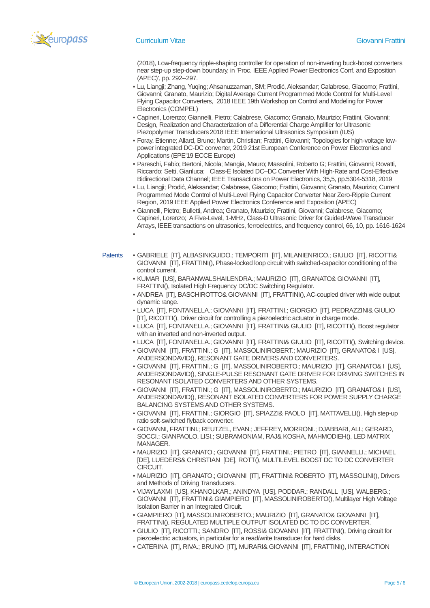

▪

(2018), Low-frequency ripple-shaping controller for operation of non-inverting buck-boost converters near step-up step-down boundary, in 'Proc. IEEE Applied Power Electronics Conf. and Exposition (APEC)', pp. 292--297.

- Lu, Liangji; Zhang, Yuqing; Ahsanuzzaman, SM; Prodić, Aleksandar; Calabrese, Giacomo; Frattini, Giovanni; Granato, Maurizio; Digital Average Current Programmed Mode Control for Multi-Level Flying Capacitor Converters, 2018 IEEE 19th Workshop on Control and Modeling for Power Electronics (COMPEL)
- Capineri, Lorenzo; Giannelli, Pietro; Calabrese, Giacomo; Granato, Maurizio; Frattini, Giovanni; Design, Realization and Characterization of a Differential Charge Amplifier for Ultrasonic Piezopolymer Transducers2018 IEEE International Ultrasonics Symposium (IUS)
- Foray, Etienne; Allard, Bruno; Martin, Christian; Frattini, Giovanni; Topologies for high-voltage lowpower integrated DC-DC converter, 2019 21st European Conference on Power Electronics and Applications (EPE'19 ECCE Europe)
- Pareschi, Fabio; Bertoni, Nicola; Mangia, Mauro; Massolini, Roberto G; Frattini, Giovanni; Rovatti, Riccardo; Setti, Gianluca; Class-E Isolated DC–DC Converter With High-Rate and Cost-Effective Bidirectional Data Channel; IEEE Transactions on Power Electronics, 35,5, pp.5304-5318, 2019
- Lu, Liangji; Prodić, Aleksandar; Calabrese, Giacomo; Frattini, Giovanni; Granato, Maurizio; Current Programmed Mode Control of Multi-Level Flying Capacitor Converter Near Zero-Ripple Current Region, 2019 IEEE Applied Power Electronics Conference and Exposition (APEC)
- Giannelli, Pietro; Bulletti, Andrea; Granato, Maurizio; Frattini, Giovanni; Calabrese, Giacomo; Capineri, Lorenzo; A Five-Level, 1-MHz, Class-D Ultrasonic Driver for Guided-Wave Transducer Arrays, IEEE transactions on ultrasonics, ferroelectrics, and frequency control, 66, 10, pp. 1616-1624
- Patents GABRIELE [IT], ALBASINIGUIDO.; TEMPORITI [IT], MILANIENRICO.; GIULIO [IT], RICOTTI& GIOVANNI [IT], FRATTINI(), Phase-locked loop circuit with switched-capacitor conditioning of the control current.
	- KUMAR [US], BARANWALSHAILENDRA.; MAURIZIO [IT], GRANATO& GIOVANNI [IT], FRATTINI(), Isolated High Frequency DC/DC Switching Regulator.
	- ANDREA [IT], BASCHIROTTO& GIOVANNI [IT], FRATTINI(), AC-coupled driver with wide output dynamic range.
	- LUCA [IT], FONTANELLA.; GIOVANNI [IT], FRATTINI.; GIORGIO [IT], PEDRAZZINI& GIULIO [IT], RICOTTI(), Driver circuit for controlling a piezoelectric actuator in charge mode.
	- LUCA [IT], FONTANELLA.; GIOVANNI [IT], FRATTINI& GIULIO [IT], RICOTTI(), Boost regulator with an inverted and non-inverted output.
	- LUCA [IT], FONTANELLA.; GIOVANNI [IT], FRATTINI& GIULIO [IT], RICOTTI(), Switching device.
	- GIOVANNI [IT], FRATTINI.; G [IT], MASSOLINIROBERT.; MAURIZIO [IT], GRANATO& I [US], ANDERSONDAVID(), RESONANT GATE DRIVERS AND CONVERTERS.
	- GIOVANNI [IT], FRATTINI.; G [IT], MASSOLINIROBERTO.; MAURIZIO [IT], GRANATO& I [US], ANDERSONDAVID(), SINGLE-PULSE RESONANT GATE DRIVER FOR DRIVING SWITCHES IN RESONANT ISOLATED CONVERTERS AND OTHER SYSTEMS.
	- GIOVANNI [IT], FRATTINI.; G [IT], MASSOLINIROBERTO.; MAURIZIO [IT], GRANATO& I [US], ANDERSONDAVID(), RESONANT ISOLATED CONVERTERS FOR POWER SUPPLY CHARGE BALANCING SYSTEMS AND OTHER SYSTEMS.
	- GIOVANNI [IT], FRATTINI.; GIORGIO [IT], SPIAZZI& PAOLO [IT], MATTAVELLI(), High step-up ratio soft-switched flyback converter.
	- GIOVANNI, FRATTINI.; REUTZEL, EVAN.; JEFFREY, MORRONI.; DJABBARI, ALI.; GERARD, SOCCI.; GIANPAOLO, LISI.; SUBRAMONIAM, RAJ& KOSHA, MAHMODIEH(), LED MATRIX MANAGER.
	- MAURIZIO [IT], GRANATO.; GIOVANNI [IT], FRATTINI.; PIETRO [IT], GIANNELLI.; MICHAEL [DE], LUEDERS& CHRISTIAN [DE], ROTT(), MULTILEVEL BOOST DC TO DC CONVERTER CIRCUIT.
	- MAURIZIO [IT], GRANATO.; GIOVANNI [IT], FRATTINI& ROBERTO [IT], MASSOLINI(), Drivers and Methods of Driving Transducers.
	- VIJAYLAXMI [US], KHANOLKAR.; ANINDYA [US], PODDAR.; RANDALL [US], WALBERG.; GIOVANNI [IT], FRATTINI& GIAMPIERO [IT], MASSOLINIROBERTO(), Multilayer High Voltage Isolation Barrier in an Integrated Circuit.
	- GIAMPIERO [IT], MASSOLINIROBERTO.; MAURIZIO [IT], GRANATO& GIOVANNI [IT], FRATTINI(), REGULATED MULTIPLE OUTPUT ISOLATED DC TO DC CONVERTER.
	- GIULIO [IT], RICOTTI.; SANDRO [IT], ROSSI& GIOVANNI [IT], FRATTINI(), Driving circuit for piezoelectric actuators, in particular for a read/write transducer for hard disks.
	- CATERINA [IT], RIVA.; BRUNO [IT], MURARI& GIOVANNI [IT], FRATTINI(), INTERACTION